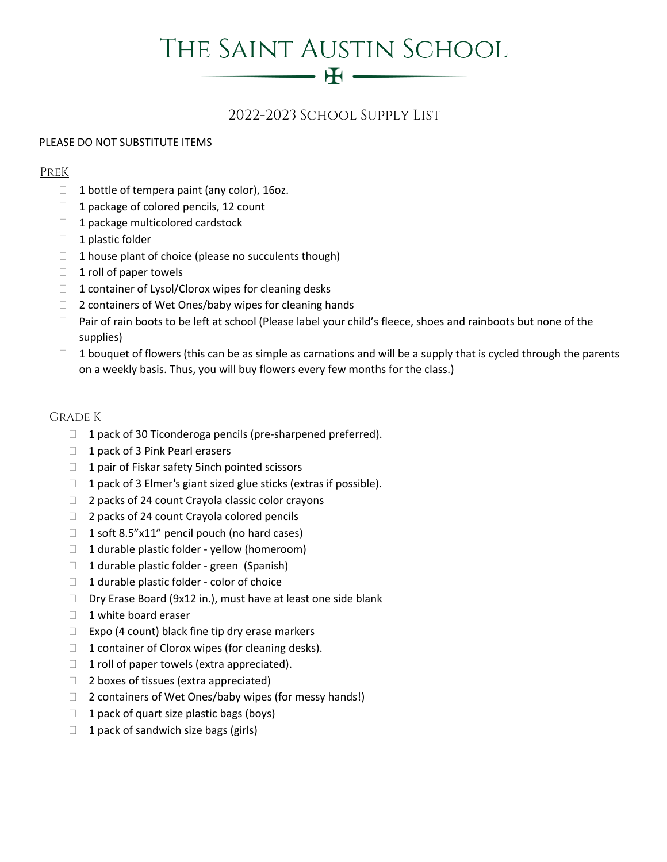# THE SAINT AUSTIN SCHOOL

 $- H \longrightarrow$ 

# 2022-2023 School Supply List

#### PLEASE DO NOT SUBSTITUTE ITEMS

#### PreK

- $\Box$  1 bottle of tempera paint (any color), 16oz.
- $\Box$  1 package of colored pencils, 12 count
- $\Box$  1 package multicolored cardstock
- $\Box$  1 plastic folder
- $\Box$  1 house plant of choice (please no succulents though)
- $\Box$  1 roll of paper towels
- $\Box$  1 container of Lysol/Clorox wipes for cleaning desks
- □ 2 containers of Wet Ones/baby wipes for cleaning hands
- $\Box$  Pair of rain boots to be left at school (Please label your child's fleece, shoes and rainboots but none of the supplies)
- $\Box$  1 bouquet of flowers (this can be as simple as carnations and will be a supply that is cycled through the parents on a weekly basis. Thus, you will buy flowers every few months for the class.)

#### Grade K

- $\Box$  1 pack of 30 Ticonderoga pencils (pre-sharpened preferred).
- 1 pack of 3 Pink Pearl erasers
- $\Box$  1 pair of Fiskar safety 5 inch pointed scissors
- $\Box$  1 pack of 3 Elmer's giant sized glue sticks (extras if possible).
- $\Box$  2 packs of 24 count Crayola classic color crayons
- $\Box$  2 packs of 24 count Crayola colored pencils
- $\Box$  1 soft 8.5"x11" pencil pouch (no hard cases)
- $\Box$  1 durable plastic folder yellow (homeroom)
- $\Box$  1 durable plastic folder green (Spanish)
- $\Box$  1 durable plastic folder color of choice
- □ Dry Erase Board (9x12 in.), must have at least one side blank
- $\Box$  1 white board eraser
- $\Box$  Expo (4 count) black fine tip dry erase markers
- $\Box$  1 container of Clorox wipes (for cleaning desks).
- $\Box$  1 roll of paper towels (extra appreciated).
- $\Box$  2 boxes of tissues (extra appreciated)
- $\Box$  2 containers of Wet Ones/baby wipes (for messy hands!)
- $\Box$  1 pack of quart size plastic bags (boys)
- $\Box$  1 pack of sandwich size bags (girls)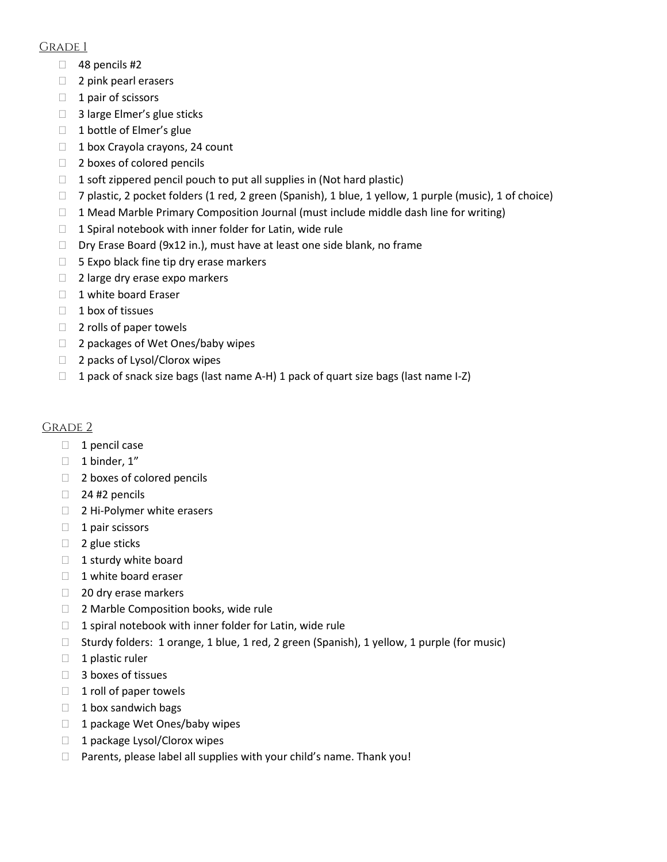#### Grade 1

- $\Box$  48 pencils #2
- $\Box$  2 pink pearl erasers
- $\Box$  1 pair of scissors
- □ 3 large Elmer's glue sticks
- □ 1 bottle of Elmer's glue
- $\Box$  1 box Crayola crayons, 24 count
- $\Box$  2 boxes of colored pencils
- $\Box$  1 soft zippered pencil pouch to put all supplies in (Not hard plastic)
- $\Box$  7 plastic, 2 pocket folders (1 red, 2 green (Spanish), 1 blue, 1 yellow, 1 purple (music), 1 of choice)
- $\Box$  1 Mead Marble Primary Composition Journal (must include middle dash line for writing)
- $\Box$  1 Spiral notebook with inner folder for Latin, wide rule
- □ Dry Erase Board (9x12 in.), must have at least one side blank, no frame
- $\Box$  5 Expo black fine tip dry erase markers
- $\Box$  2 large dry erase expo markers
- 1 white board Eraser
- $\Box$  1 box of tissues
- $\Box$  2 rolls of paper towels
- □ 2 packages of Wet Ones/baby wipes
- □ 2 packs of Lysol/Clorox wipes
- $\Box$  1 pack of snack size bags (last name A-H) 1 pack of quart size bags (last name I-Z)

### Grade 2

- $\Box$  1 pencil case
- $\Box$  1 binder, 1"
- □ 2 boxes of colored pencils
- $\Box$  24 #2 pencils
- □ 2 Hi-Polymer white erasers
- $\Box$  1 pair scissors
- $\Box$  2 glue sticks
- $\Box$  1 sturdy white board
- $\Box$  1 white board eraser
- □ 20 dry erase markers
- □ 2 Marble Composition books, wide rule
- $\Box$  1 spiral notebook with inner folder for Latin, wide rule
- □ Sturdy folders: 1 orange, 1 blue, 1 red, 2 green (Spanish), 1 yellow, 1 purple (for music)
- $\Box$  1 plastic ruler
- □ 3 boxes of tissues
- $\Box$  1 roll of paper towels
- $\Box$  1 box sandwich bags
- □ 1 package Wet Ones/baby wipes
- $\Box$  1 package Lysol/Clorox wipes
- $\Box$  Parents, please label all supplies with your child's name. Thank you!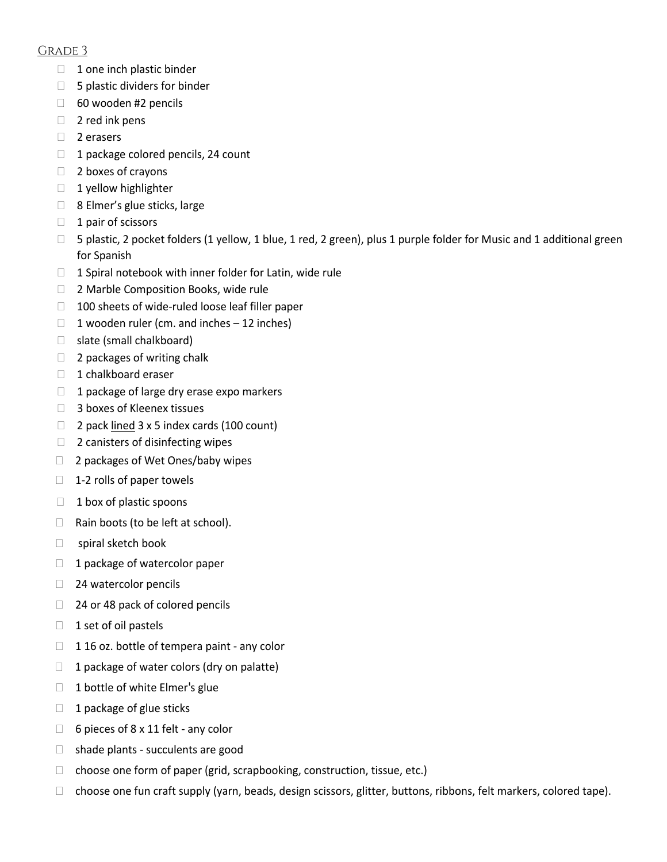#### Grade 3

- $\Box$  1 one inch plastic binder
- $\Box$  5 plastic dividers for binder
- $\Box$  60 wooden #2 pencils
- $\Box$  2 red ink pens
- □ 2 erasers
- $\Box$  1 package colored pencils, 24 count
- $\Box$  2 boxes of crayons
- $\Box$  1 yellow highlighter
- □ 8 Elmer's glue sticks, large
- $\Box$  1 pair of scissors
- $\Box$  5 plastic, 2 pocket folders (1 yellow, 1 blue, 1 red, 2 green), plus 1 purple folder for Music and 1 additional green for Spanish
- $\Box$  1 Spiral notebook with inner folder for Latin, wide rule
- □ 2 Marble Composition Books, wide rule
- $\Box$  100 sheets of wide-ruled loose leaf filler paper
- 1 wooden ruler (cm. and inches  $-12$  inches)
- □ slate (small chalkboard)
- $\Box$  2 packages of writing chalk
- $\Box$  1 chalkboard eraser
- $\Box$  1 package of large dry erase expo markers
- □ 3 boxes of Kleenex tissues
- $\Box$  2 pack lined 3 x 5 index cards (100 count)
- □ 2 canisters of disinfecting wipes
- □ 2 packages of Wet Ones/baby wipes
- $\Box$  1-2 rolls of paper towels
- $\Box$  1 box of plastic spoons
- $\Box$  Rain boots (to be left at school).
- □ spiral sketch book
- $\Box$  1 package of watercolor paper
- □ 24 watercolor pencils
- □ 24 or 48 pack of colored pencils
- $\Box$  1 set of oil pastels
- $\Box$  116 oz. bottle of tempera paint any color
- $\Box$  1 package of water colors (dry on palatte)
- $\Box$  1 bottle of white Elmer's glue
- $\Box$  1 package of glue sticks
- $\Box$  6 pieces of 8 x 11 felt any color
- $\Box$  shade plants succulents are good
- $\Box$  choose one form of paper (grid, scrapbooking, construction, tissue, etc.)
- □ choose one fun craft supply (yarn, beads, design scissors, glitter, buttons, ribbons, felt markers, colored tape).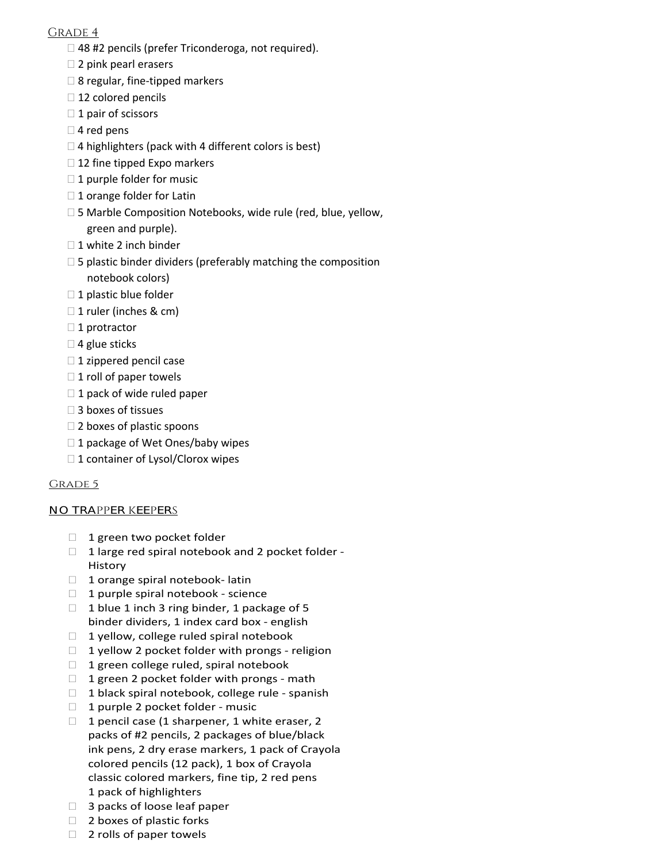#### GRADE 4

- □ 48 #2 pencils (prefer Triconderoga, not required).
- □ 2 pink pearl erasers
- $\square$  8 regular, fine-tipped markers
- $\Box$  12 colored pencils
- $\Box$  1 pair of scissors
- $\Box$  4 red pens
- $\Box$  4 highlighters (pack with 4 different colors is best)
- $\Box$  12 fine tipped Expo markers
- $\Box$  1 purple folder for music
- $\Box$  1 orange folder for Latin
- □ 5 Marble Composition Notebooks, wide rule (red, blue, yellow, green and purple).
- □ 1 white 2 inch binder
- $\square$  5 plastic binder dividers (preferably matching the composition notebook colors)
- $\Box$  1 plastic blue folder
- □ 1 ruler (inches & cm)
- $\Box$  1 protractor
- $\Box$  4 glue sticks
- $\Box$  1 zippered pencil case
- $\Box$  1 roll of paper towels
- $\Box$  1 pack of wide ruled paper
- □ 3 boxes of tissues
- $\square$  2 boxes of plastic spoons
- □ 1 package of Wet Ones/baby wipes
- $\Box$  1 container of Lysol/Clorox wipes

#### GRADE 5

#### NO TRAPPER KEEPERS

- 1 green two pocket folder
- $\Box$  1 large red spiral notebook and 2 pocket folder -History
- $\Box$  1 orange spiral notebook- latin
- $\Box$  1 purple spiral notebook science
- $\Box$  1 blue 1 inch 3 ring binder, 1 package of 5 binder dividers, 1 index card box - english
- $\Box$  1 yellow, college ruled spiral notebook
- $\Box$  1 yellow 2 pocket folder with prongs religion
- $\Box$  1 green college ruled, spiral notebook
- $\Box$  1 green 2 pocket folder with prongs math
- $\Box$  1 black spiral notebook, college rule spanish
- $\Box$  1 purple 2 pocket folder music
- $\Box$  1 pencil case (1 sharpener, 1 white eraser, 2 packs of #2 pencils, 2 packages of blue/black ink pens, 2 dry erase markers, 1 pack of Crayola colored pencils (12 pack), 1 box of Crayola classic colored markers, fine tip, 2 red pens 1 pack of highlighters
- □ 3 packs of loose leaf paper
- $\Box$  2 boxes of plastic forks
- $\Box$  2 rolls of paper towels